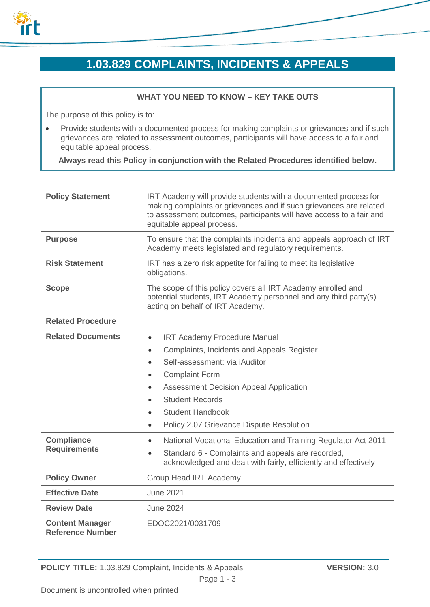

# **1.03.829 COMPLAINTS, INCIDENTS & APPEALS**

# **WHAT YOU NEED TO KNOW – KEY TAKE OUTS**

The purpose of this policy is to:

• Provide students with a documented process for making complaints or grievances and if such grievances are related to assessment outcomes, participants will have access to a fair and equitable appeal process.

**Always read this Policy in conjunction with the Related Procedures identified below.**

| <b>Policy Statement</b>                           | IRT Academy will provide students with a documented process for<br>making complaints or grievances and if such grievances are related<br>to assessment outcomes, participants will have access to a fair and<br>equitable appeal process.                                                                                                                                                             |
|---------------------------------------------------|-------------------------------------------------------------------------------------------------------------------------------------------------------------------------------------------------------------------------------------------------------------------------------------------------------------------------------------------------------------------------------------------------------|
| <b>Purpose</b>                                    | To ensure that the complaints incidents and appeals approach of IRT<br>Academy meets legislated and regulatory requirements.                                                                                                                                                                                                                                                                          |
| <b>Risk Statement</b>                             | IRT has a zero risk appetite for failing to meet its legislative<br>obligations.                                                                                                                                                                                                                                                                                                                      |
| <b>Scope</b>                                      | The scope of this policy covers all IRT Academy enrolled and<br>potential students, IRT Academy personnel and any third party(s)<br>acting on behalf of IRT Academy.                                                                                                                                                                                                                                  |
| <b>Related Procedure</b>                          |                                                                                                                                                                                                                                                                                                                                                                                                       |
| <b>Related Documents</b>                          | <b>IRT Academy Procedure Manual</b><br>$\bullet$<br>Complaints, Incidents and Appeals Register<br>$\bullet$<br>Self-assessment: via iAuditor<br>$\bullet$<br><b>Complaint Form</b><br>$\bullet$<br><b>Assessment Decision Appeal Application</b><br>$\bullet$<br><b>Student Records</b><br>$\bullet$<br><b>Student Handbook</b><br>$\bullet$<br>Policy 2.07 Grievance Dispute Resolution<br>$\bullet$ |
| <b>Compliance</b><br><b>Requirements</b>          | National Vocational Education and Training Regulator Act 2011<br>$\bullet$<br>Standard 6 - Complaints and appeals are recorded,<br>$\bullet$<br>acknowledged and dealt with fairly, efficiently and effectively                                                                                                                                                                                       |
| <b>Policy Owner</b>                               | <b>Group Head IRT Academy</b>                                                                                                                                                                                                                                                                                                                                                                         |
| <b>Effective Date</b>                             | <b>June 2021</b>                                                                                                                                                                                                                                                                                                                                                                                      |
| <b>Review Date</b>                                | <b>June 2024</b>                                                                                                                                                                                                                                                                                                                                                                                      |
| <b>Content Manager</b><br><b>Reference Number</b> | EDOC2021/0031709                                                                                                                                                                                                                                                                                                                                                                                      |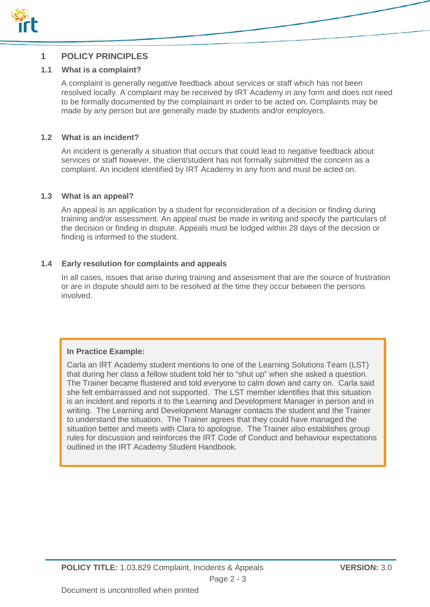

# **1 POLICY PRINCIPLES**

## **1.1 What is a complaint?**

A complaint is generally negative feedback about services or staff which has not been resolved locally. A complaint may be received by IRT Academy in any form and does not need to be formally documented by the complainant in order to be acted on. Complaints may be made by any person but are generally made by students and/or employers.

## **1.2 What is an incident?**

An incident is generally a situation that occurs that could lead to negative feedback about services or staff however, the client/student has not formally submitted the concern as a complaint. An incident identified by IRT Academy in any form and must be acted on.

#### **1.3 What is an appeal?**

An appeal is an application by a student for reconsideration of a decision or finding during training and/or assessment. An appeal must be made in writing and specify the particulars of the decision or finding in dispute. Appeals must be lodged within 28 days of the decision or finding is informed to the student.

## **1.4 Early resolution for complaints and appeals**

In all cases, issues that arise during training and assessment that are the source of frustration or are in dispute should aim to be resolved at the time they occur between the persons involved.

## **In Practice Example:**

Carla an IRT Academy student mentions to one of the Learning Solutions Team (LST) that during her class a fellow student told her to "shut up" when she asked a question. The Trainer became flustered and told everyone to calm down and carry on. Carla said she felt embarrassed and not supported. The LST member identifies that this situation is an incident and reports it to the Learning and Development Manager in person and in writing. The Learning and Development Manager contacts the student and the Trainer to understand the situation. The Trainer agrees that they could have managed the situation better and meets with Clara to apologise. The Trainer also establishes group rules for discussion and reinforces the IRT Code of Conduct and behaviour expectations outlined in the IRT Academy Student Handbook.